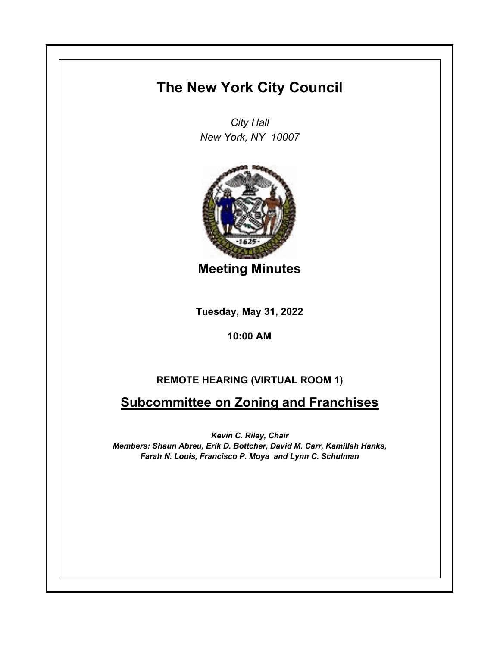# **The New York City Council**

*City Hall New York, NY 10007*



**Meeting Minutes**

**Tuesday, May 31, 2022**

**10:00 AM**

# **REMOTE HEARING (VIRTUAL ROOM 1)**

# **Subcommittee on Zoning and Franchises**

*Kevin C. Riley, Chair Members: Shaun Abreu, Erik D. Bottcher, David M. Carr, Kamillah Hanks, Farah N. Louis, Francisco P. Moya and Lynn C. Schulman*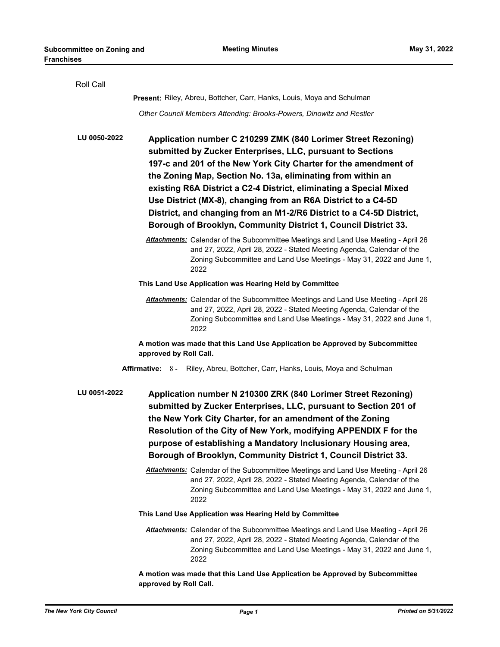| Roll Call                                                                      |                                                                                                                                                                                                                                                                                                                                                                                                                                                                                                                                                 |
|--------------------------------------------------------------------------------|-------------------------------------------------------------------------------------------------------------------------------------------------------------------------------------------------------------------------------------------------------------------------------------------------------------------------------------------------------------------------------------------------------------------------------------------------------------------------------------------------------------------------------------------------|
|                                                                                | Present: Riley, Abreu, Bottcher, Carr, Hanks, Louis, Moya and Schulman                                                                                                                                                                                                                                                                                                                                                                                                                                                                          |
|                                                                                | Other Council Members Attending: Brooks-Powers, Dinowitz and Restler                                                                                                                                                                                                                                                                                                                                                                                                                                                                            |
| LU 0050-2022                                                                   | Application number C 210299 ZMK (840 Lorimer Street Rezoning)<br>submitted by Zucker Enterprises, LLC, pursuant to Sections<br>197-c and 201 of the New York City Charter for the amendment of<br>the Zoning Map, Section No. 13a, eliminating from within an<br>existing R6A District a C2-4 District, eliminating a Special Mixed<br>Use District (MX-8), changing from an R6A District to a C4-5D<br>District, and changing from an M1-2/R6 District to a C4-5D District,<br>Borough of Brooklyn, Community District 1, Council District 33. |
|                                                                                | Attachments: Calendar of the Subcommittee Meetings and Land Use Meeting - April 26<br>and 27, 2022, April 28, 2022 - Stated Meeting Agenda, Calendar of the<br>Zoning Subcommittee and Land Use Meetings - May 31, 2022 and June 1,<br>2022                                                                                                                                                                                                                                                                                                     |
|                                                                                | This Land Use Application was Hearing Held by Committee                                                                                                                                                                                                                                                                                                                                                                                                                                                                                         |
|                                                                                | Attachments: Calendar of the Subcommittee Meetings and Land Use Meeting - April 26<br>and 27, 2022, April 28, 2022 - Stated Meeting Agenda, Calendar of the<br>Zoning Subcommittee and Land Use Meetings - May 31, 2022 and June 1,<br>2022                                                                                                                                                                                                                                                                                                     |
|                                                                                | A motion was made that this Land Use Application be Approved by Subcommittee<br>approved by Roll Call.                                                                                                                                                                                                                                                                                                                                                                                                                                          |
| Affirmative: 8 - Riley, Abreu, Bottcher, Carr, Hanks, Louis, Moya and Schulman |                                                                                                                                                                                                                                                                                                                                                                                                                                                                                                                                                 |
| LU 0051-2022                                                                   | Application number N 210300 ZRK (840 Lorimer Street Rezoning)<br>submitted by Zucker Enterprises, LLC, pursuant to Section 201 of<br>the New York City Charter, for an amendment of the Zoning<br>Resolution of the City of New York, modifying APPENDIX F for the<br>purpose of establishing a Mandatory Inclusionary Housing area,<br>Borough of Brooklyn, Community District 1, Council District 33.                                                                                                                                         |
|                                                                                | <b>Attachments:</b> Calendar of the Subcommittee Meetings and Land Use Meeting - April 26<br>and 27, 2022, April 28, 2022 - Stated Meeting Agenda, Calendar of the<br>Zoning Subcommittee and Land Use Meetings - May 31, 2022 and June 1,<br>2022                                                                                                                                                                                                                                                                                              |
|                                                                                | This Land Use Application was Hearing Held by Committee                                                                                                                                                                                                                                                                                                                                                                                                                                                                                         |
|                                                                                | <b>Attachments:</b> Calendar of the Subcommittee Meetings and Land Use Meeting - April 26<br>and 27, 2022, April 28, 2022 - Stated Meeting Agenda, Calendar of the<br>Zoning Subcommittee and Land Use Meetings - May 31, 2022 and June 1,<br>2022                                                                                                                                                                                                                                                                                              |
|                                                                                | A motion was made that this Land Use Application be Approved by Subcommittee<br>approved by Roll Call.                                                                                                                                                                                                                                                                                                                                                                                                                                          |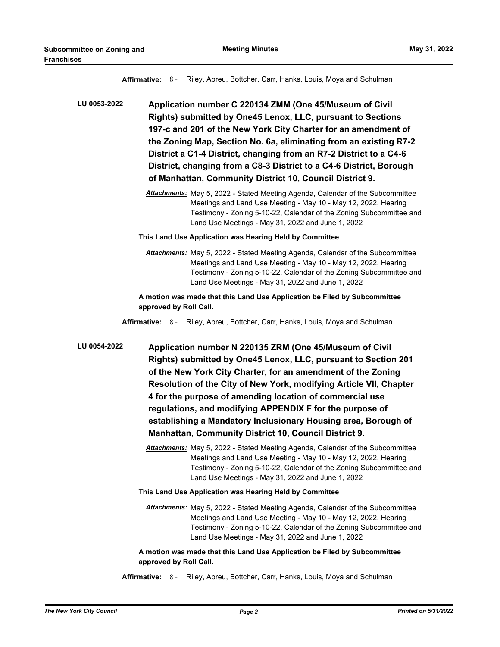**Affirmative:** 8 - Riley, Abreu, Bottcher, Carr, Hanks, Louis, Moya and Schulman

**Application number C 220134 ZMM (One 45/Museum of Civil Rights) submitted by One45 Lenox, LLC, pursuant to Sections 197-c and 201 of the New York City Charter for an amendment of the Zoning Map, Section No. 6a, eliminating from an existing R7-2 District a C1-4 District, changing from an R7-2 District to a C4-6 District, changing from a C8-3 District to a C4-6 District, Borough of Manhattan, Community District 10, Council District 9. LU 0053-2022**

> *Attachments:* May 5, 2022 - Stated Meeting Agenda, Calendar of the Subcommittee Meetings and Land Use Meeting - May 10 - May 12, 2022, Hearing Testimony - Zoning 5-10-22, Calendar of the Zoning Subcommittee and Land Use Meetings - May 31, 2022 and June 1, 2022

#### **This Land Use Application was Hearing Held by Committee**

*Attachments:* May 5, 2022 - Stated Meeting Agenda, Calendar of the Subcommittee Meetings and Land Use Meeting - May 10 - May 12, 2022, Hearing Testimony - Zoning 5-10-22, Calendar of the Zoning Subcommittee and Land Use Meetings - May 31, 2022 and June 1, 2022

### **A motion was made that this Land Use Application be Filed by Subcommittee approved by Roll Call.**

**Affirmative:** 8 - Riley, Abreu, Bottcher, Carr, Hanks, Louis, Moya and Schulman

**Application number N 220135 ZRM (One 45/Museum of Civil Rights) submitted by One45 Lenox, LLC, pursuant to Section 201 of the New York City Charter, for an amendment of the Zoning Resolution of the City of New York, modifying Article VII, Chapter 4 for the purpose of amending location of commercial use regulations, and modifying APPENDIX F for the purpose of establishing a Mandatory Inclusionary Housing area, Borough of Manhattan, Community District 10, Council District 9. LU 0054-2022**

> *Attachments:* May 5, 2022 - Stated Meeting Agenda, Calendar of the Subcommittee Meetings and Land Use Meeting - May 10 - May 12, 2022, Hearing Testimony - Zoning 5-10-22, Calendar of the Zoning Subcommittee and Land Use Meetings - May 31, 2022 and June 1, 2022

### **This Land Use Application was Hearing Held by Committee**

*Attachments:* May 5, 2022 - Stated Meeting Agenda, Calendar of the Subcommittee Meetings and Land Use Meeting - May 10 - May 12, 2022, Hearing Testimony - Zoning 5-10-22, Calendar of the Zoning Subcommittee and Land Use Meetings - May 31, 2022 and June 1, 2022

**A motion was made that this Land Use Application be Filed by Subcommittee approved by Roll Call.**

**Affirmative:** 8 - Riley, Abreu, Bottcher, Carr, Hanks, Louis, Moya and Schulman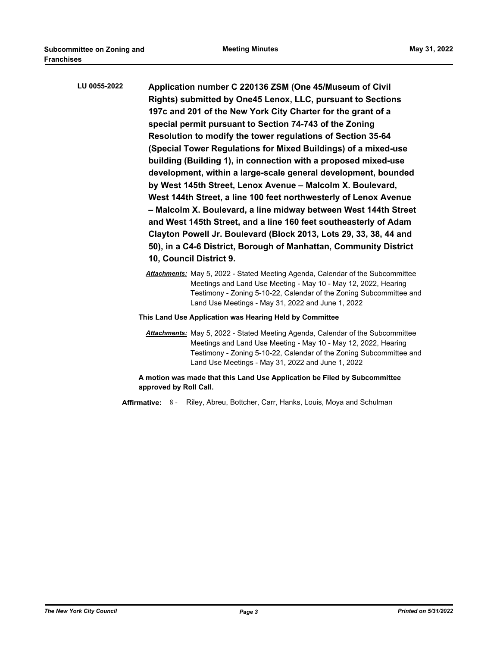| LU 0055-2022 | Application number C 220136 ZSM (One 45/Museum of Civil<br>Rights) submitted by One45 Lenox, LLC, pursuant to Sections<br>197c and 201 of the New York City Charter for the grant of a<br>special permit pursuant to Section 74-743 of the Zoning<br>Resolution to modify the tower regulations of Section 35-64<br>(Special Tower Regulations for Mixed Buildings) of a mixed-use<br>building (Building 1), in connection with a proposed mixed-use<br>development, within a large-scale general development, bounded<br>by West 145th Street, Lenox Avenue - Malcolm X. Boulevard,<br>West 144th Street, a line 100 feet northwesterly of Lenox Avenue<br>- Malcolm X. Boulevard, a line midway between West 144th Street<br>and West 145th Street, and a line 160 feet southeasterly of Adam<br>Clayton Powell Jr. Boulevard (Block 2013, Lots 29, 33, 38, 44 and<br>50), in a C4-6 District, Borough of Manhattan, Community District<br>10, Council District 9. |
|--------------|----------------------------------------------------------------------------------------------------------------------------------------------------------------------------------------------------------------------------------------------------------------------------------------------------------------------------------------------------------------------------------------------------------------------------------------------------------------------------------------------------------------------------------------------------------------------------------------------------------------------------------------------------------------------------------------------------------------------------------------------------------------------------------------------------------------------------------------------------------------------------------------------------------------------------------------------------------------------|
|              | <b>Attachments:</b> May 5, 2022 - Stated Meeting Agenda, Calendar of the Subcommittee                                                                                                                                                                                                                                                                                                                                                                                                                                                                                                                                                                                                                                                                                                                                                                                                                                                                                |

Meetings and Land Use Meeting - May 10 - May 12, 2022, Hearing Testimony - Zoning 5-10-22, Calendar of the Zoning Subcommittee and Land Use Meetings - May 31, 2022 and June 1, 2022

#### **This Land Use Application was Hearing Held by Committee**

*Attachments:* May 5, 2022 - Stated Meeting Agenda, Calendar of the Subcommittee Meetings and Land Use Meeting - May 10 - May 12, 2022, Hearing Testimony - Zoning 5-10-22, Calendar of the Zoning Subcommittee and Land Use Meetings - May 31, 2022 and June 1, 2022

# **A motion was made that this Land Use Application be Filed by Subcommittee approved by Roll Call.**

**Affirmative:** 8 - Riley, Abreu, Bottcher, Carr, Hanks, Louis, Moya and Schulman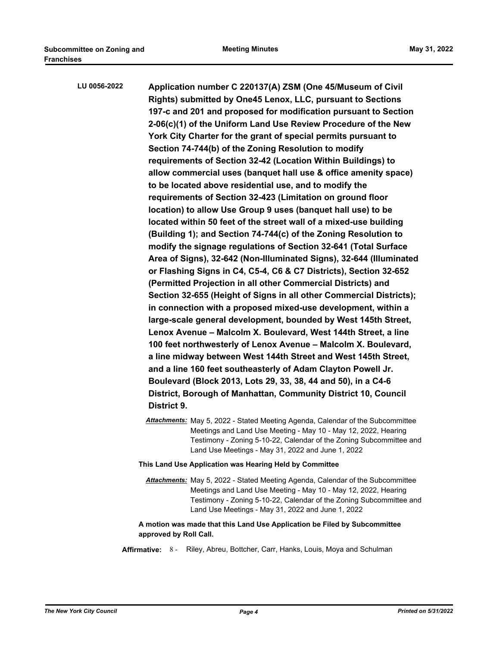| LU 0056-2022 | Application number C 220137(A) ZSM (One 45/Museum of Civil          |
|--------------|---------------------------------------------------------------------|
|              | Rights) submitted by One45 Lenox, LLC, pursuant to Sections         |
|              | 197-c and 201 and proposed for modification pursuant to Section     |
|              | 2-06(c)(1) of the Uniform Land Use Review Procedure of the New      |
|              | York City Charter for the grant of special permits pursuant to      |
|              | Section 74-744(b) of the Zoning Resolution to modify                |
|              | requirements of Section 32-42 (Location Within Buildings) to        |
|              | allow commercial uses (banquet hall use & office amenity space)     |
|              | to be located above residential use, and to modify the              |
|              | requirements of Section 32-423 (Limitation on ground floor          |
|              | location) to allow Use Group 9 uses (banquet hall use) to be        |
|              | located within 50 feet of the street wall of a mixed-use building   |
|              | (Building 1); and Section 74-744(c) of the Zoning Resolution to     |
|              | modify the signage regulations of Section 32-641 (Total Surface     |
|              | Area of Signs), 32-642 (Non-Illuminated Signs), 32-644 (Illuminated |
|              | or Flashing Signs in C4, C5-4, C6 & C7 Districts), Section 32-652   |
|              | (Permitted Projection in all other Commercial Districts) and        |
|              | Section 32-655 (Height of Signs in all other Commercial Districts); |
|              | in connection with a proposed mixed-use development, within a       |
|              | large-scale general development, bounded by West 145th Street,      |
|              | Lenox Avenue - Malcolm X. Boulevard, West 144th Street, a line      |
|              | 100 feet northwesterly of Lenox Avenue - Malcolm X. Boulevard,      |
|              | a line midway between West 144th Street and West 145th Street,      |
|              | and a line 160 feet southeasterly of Adam Clayton Powell Jr.        |
|              | Boulevard (Block 2013, Lots 29, 33, 38, 44 and 50), in a C4-6       |
|              | District, Borough of Manhattan, Community District 10, Council      |
|              | District 9.                                                         |

*Attachments:* May 5, 2022 - Stated Meeting Agenda, Calendar of the Subcommittee Meetings and Land Use Meeting - May 10 - May 12, 2022, Hearing Testimony - Zoning 5-10-22, Calendar of the Zoning Subcommittee and Land Use Meetings - May 31, 2022 and June 1, 2022

# **This Land Use Application was Hearing Held by Committee**

*Attachments:* May 5, 2022 - Stated Meeting Agenda, Calendar of the Subcommittee Meetings and Land Use Meeting - May 10 - May 12, 2022, Hearing Testimony - Zoning 5-10-22, Calendar of the Zoning Subcommittee and Land Use Meetings - May 31, 2022 and June 1, 2022

### **A motion was made that this Land Use Application be Filed by Subcommittee approved by Roll Call.**

**Affirmative:** 8 - Riley, Abreu, Bottcher, Carr, Hanks, Louis, Moya and Schulman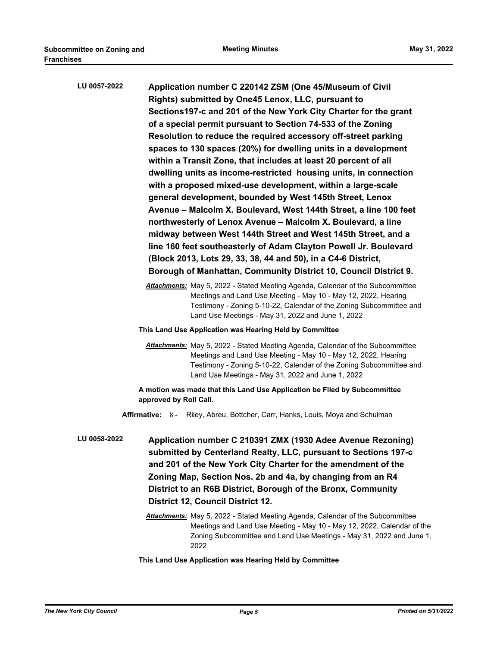| LU 0057-2022 | Application number C 220142 ZSM (One 45/Museum of Civil<br>Rights) submitted by One45 Lenox, LLC, pursuant to<br>Sections 197-c and 201 of the New York City Charter for the grant<br>of a special permit pursuant to Section 74-533 of the Zoning<br>Resolution to reduce the required accessory off-street parking<br>spaces to 130 spaces (20%) for dwelling units in a development<br>within a Transit Zone, that includes at least 20 percent of all<br>dwelling units as income-restricted housing units, in connection<br>with a proposed mixed-use development, within a large-scale<br>general development, bounded by West 145th Street, Lenox<br>Avenue - Malcolm X. Boulevard, West 144th Street, a line 100 feet<br>northwesterly of Lenox Avenue - Malcolm X. Boulevard, a line |
|--------------|-----------------------------------------------------------------------------------------------------------------------------------------------------------------------------------------------------------------------------------------------------------------------------------------------------------------------------------------------------------------------------------------------------------------------------------------------------------------------------------------------------------------------------------------------------------------------------------------------------------------------------------------------------------------------------------------------------------------------------------------------------------------------------------------------|
|              | midway between West 144th Street and West 145th Street, and a                                                                                                                                                                                                                                                                                                                                                                                                                                                                                                                                                                                                                                                                                                                                 |
|              | line 160 feet southeasterly of Adam Clayton Powell Jr. Boulevard<br>(Block 2013, Lots 29, 33, 38, 44 and 50), in a C4-6 District,                                                                                                                                                                                                                                                                                                                                                                                                                                                                                                                                                                                                                                                             |
|              | Borough of Manhattan, Community District 10, Council District 9.                                                                                                                                                                                                                                                                                                                                                                                                                                                                                                                                                                                                                                                                                                                              |
|              |                                                                                                                                                                                                                                                                                                                                                                                                                                                                                                                                                                                                                                                                                                                                                                                               |
|              | Attachments: May 5, 2022 - Stated Meeting Agenda, Calendar of the Subcommittee<br>Meetings and Land Use Meeting - May 10 - May 12, 2022, Hearing<br>Testimony - Zoning 5-10-22, Calendar of the Zoning Subcommittee and<br>Land Use Meetings - May 31, 2022 and June 1, 2022                                                                                                                                                                                                                                                                                                                                                                                                                                                                                                                  |
|              | This Land Use Application was Hearing Held by Committee                                                                                                                                                                                                                                                                                                                                                                                                                                                                                                                                                                                                                                                                                                                                       |
|              | <b>Attachments:</b> May 5, 2022 - Stated Meeting Agenda, Calendar of the Subcommittee<br>Meetings and Land Use Meeting - May 10 - May 12, 2022, Hearing<br>Testimony - Zoning 5-10-22, Calendar of the Zoning Subcommittee and<br>Land Use Meetings - May 31, 2022 and June 1, 2022                                                                                                                                                                                                                                                                                                                                                                                                                                                                                                           |
|              | A motion was made that this Land Use Application be Filed by Subcommittee<br>approved by Roll Call.                                                                                                                                                                                                                                                                                                                                                                                                                                                                                                                                                                                                                                                                                           |
|              | Affirmative: 8 - Riley, Abreu, Bottcher, Carr, Hanks, Louis, Moya and Schulman                                                                                                                                                                                                                                                                                                                                                                                                                                                                                                                                                                                                                                                                                                                |
| LU 0058-2022 | Application number C 210391 ZMX (1930 Adee Avenue Rezoning)<br>submitted by Centerland Realty, LLC, pursuant to Sections 197-c<br>and 201 of the New York City Charter for the amendment of the<br>Zoning Map, Section Nos. 2b and 4a, by changing from an R4                                                                                                                                                                                                                                                                                                                                                                                                                                                                                                                                 |
|              | District to an R6B District, Borough of the Bronx, Community<br><b>District 12, Council District 12.</b>                                                                                                                                                                                                                                                                                                                                                                                                                                                                                                                                                                                                                                                                                      |
|              | <b>Attachments:</b> May 5, 2022 - Stated Meeting Agenda, Calendar of the Subcommittee<br>Meetings and Land Use Meeting - May 10 - May 12, 2022, Calendar of the<br>Zoning Subcommittee and Land Use Meetings - May 31, 2022 and June 1,                                                                                                                                                                                                                                                                                                                                                                                                                                                                                                                                                       |

**This Land Use Application was Hearing Held by Committee**

2022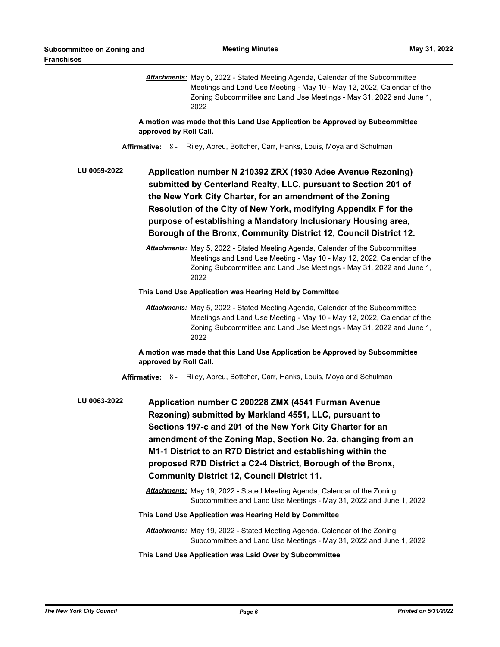*Attachments:* May 5, 2022 - Stated Meeting Agenda, Calendar of the Subcommittee Meetings and Land Use Meeting - May 10 - May 12, 2022, Calendar of the Zoning Subcommittee and Land Use Meetings - May 31, 2022 and June 1, 2022

**A motion was made that this Land Use Application be Approved by Subcommittee approved by Roll Call.**

**Affirmative:** 8 - Riley, Abreu, Bottcher, Carr, Hanks, Louis, Moya and Schulman

**Application number N 210392 ZRX (1930 Adee Avenue Rezoning) submitted by Centerland Realty, LLC, pursuant to Section 201 of the New York City Charter, for an amendment of the Zoning Resolution of the City of New York, modifying Appendix F for the purpose of establishing a Mandatory Inclusionary Housing area, Borough of the Bronx, Community District 12, Council District 12. LU 0059-2022**

> *Attachments:* May 5, 2022 - Stated Meeting Agenda, Calendar of the Subcommittee Meetings and Land Use Meeting - May 10 - May 12, 2022, Calendar of the Zoning Subcommittee and Land Use Meetings - May 31, 2022 and June 1, 2022

**This Land Use Application was Hearing Held by Committee**

*Attachments:* May 5, 2022 - Stated Meeting Agenda, Calendar of the Subcommittee Meetings and Land Use Meeting - May 10 - May 12, 2022, Calendar of the Zoning Subcommittee and Land Use Meetings - May 31, 2022 and June 1, 2022

**A motion was made that this Land Use Application be Approved by Subcommittee approved by Roll Call.**

**Affirmative:** 8 - Riley, Abreu, Bottcher, Carr, Hanks, Louis, Moya and Schulman

**Application number C 200228 ZMX (4541 Furman Avenue Rezoning) submitted by Markland 4551, LLC, pursuant to Sections 197-c and 201 of the New York City Charter for an amendment of the Zoning Map, Section No. 2a, changing from an M1-1 District to an R7D District and establishing within the proposed R7D District a C2-4 District, Borough of the Bronx, Community District 12, Council District 11. LU 0063-2022**

> *Attachments:* May 19, 2022 - Stated Meeting Agenda, Calendar of the Zoning Subcommittee and Land Use Meetings - May 31, 2022 and June 1, 2022

### **This Land Use Application was Hearing Held by Committee**

- *Attachments:* May 19, 2022 Stated Meeting Agenda, Calendar of the Zoning Subcommittee and Land Use Meetings - May 31, 2022 and June 1, 2022
- **This Land Use Application was Laid Over by Subcommittee**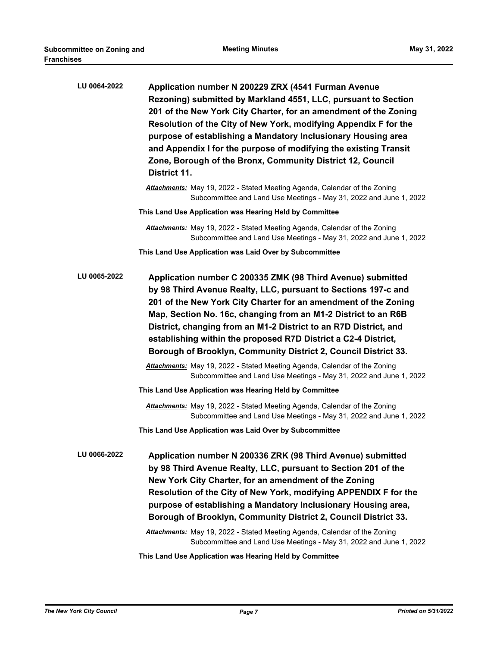| LU 0064-2022 | Application number N 200229 ZRX (4541 Furman Avenue<br>Rezoning) submitted by Markland 4551, LLC, pursuant to Section<br>201 of the New York City Charter, for an amendment of the Zoning<br>Resolution of the City of New York, modifying Appendix F for the<br>purpose of establishing a Mandatory Inclusionary Housing area<br>and Appendix I for the purpose of modifying the existing Transit<br>Zone, Borough of the Bronx, Community District 12, Council<br>District 11.                                                                                                                                               |
|--------------|--------------------------------------------------------------------------------------------------------------------------------------------------------------------------------------------------------------------------------------------------------------------------------------------------------------------------------------------------------------------------------------------------------------------------------------------------------------------------------------------------------------------------------------------------------------------------------------------------------------------------------|
|              | Attachments: May 19, 2022 - Stated Meeting Agenda, Calendar of the Zoning<br>Subcommittee and Land Use Meetings - May 31, 2022 and June 1, 2022                                                                                                                                                                                                                                                                                                                                                                                                                                                                                |
|              | This Land Use Application was Hearing Held by Committee                                                                                                                                                                                                                                                                                                                                                                                                                                                                                                                                                                        |
|              | <b>Attachments:</b> May 19, 2022 - Stated Meeting Agenda, Calendar of the Zoning<br>Subcommittee and Land Use Meetings - May 31, 2022 and June 1, 2022                                                                                                                                                                                                                                                                                                                                                                                                                                                                         |
|              | This Land Use Application was Laid Over by Subcommittee                                                                                                                                                                                                                                                                                                                                                                                                                                                                                                                                                                        |
| LU 0065-2022 | Application number C 200335 ZMK (98 Third Avenue) submitted<br>by 98 Third Avenue Realty, LLC, pursuant to Sections 197-c and<br>201 of the New York City Charter for an amendment of the Zoning<br>Map, Section No. 16c, changing from an M1-2 District to an R6B<br>District, changing from an M1-2 District to an R7D District, and<br>establishing within the proposed R7D District a C2-4 District,<br>Borough of Brooklyn, Community District 2, Council District 33.<br>Attachments: May 19, 2022 - Stated Meeting Agenda, Calendar of the Zoning<br>Subcommittee and Land Use Meetings - May 31, 2022 and June 1, 2022 |
|              | This Land Use Application was Hearing Held by Committee                                                                                                                                                                                                                                                                                                                                                                                                                                                                                                                                                                        |
|              | <b>Attachments:</b> May 19, 2022 - Stated Meeting Agenda, Calendar of the Zoning<br>Subcommittee and Land Use Meetings - May 31, 2022 and June 1, 2022                                                                                                                                                                                                                                                                                                                                                                                                                                                                         |
|              | This Land Use Application was Laid Over by Subcommittee                                                                                                                                                                                                                                                                                                                                                                                                                                                                                                                                                                        |
| LU 0066-2022 | Application number N 200336 ZRK (98 Third Avenue) submitted<br>by 98 Third Avenue Realty, LLC, pursuant to Section 201 of the<br>New York City Charter, for an amendment of the Zoning<br>Resolution of the City of New York, modifying APPENDIX F for the<br>purpose of establishing a Mandatory Inclusionary Housing area,<br>Borough of Brooklyn, Community District 2, Council District 33.<br>Attachments: May 19, 2022 - Stated Meeting Agenda, Calendar of the Zoning                                                                                                                                                   |
|              | Subcommittee and Land Use Meetings - May 31, 2022 and June 1, 2022                                                                                                                                                                                                                                                                                                                                                                                                                                                                                                                                                             |

**This Land Use Application was Hearing Held by Committee**